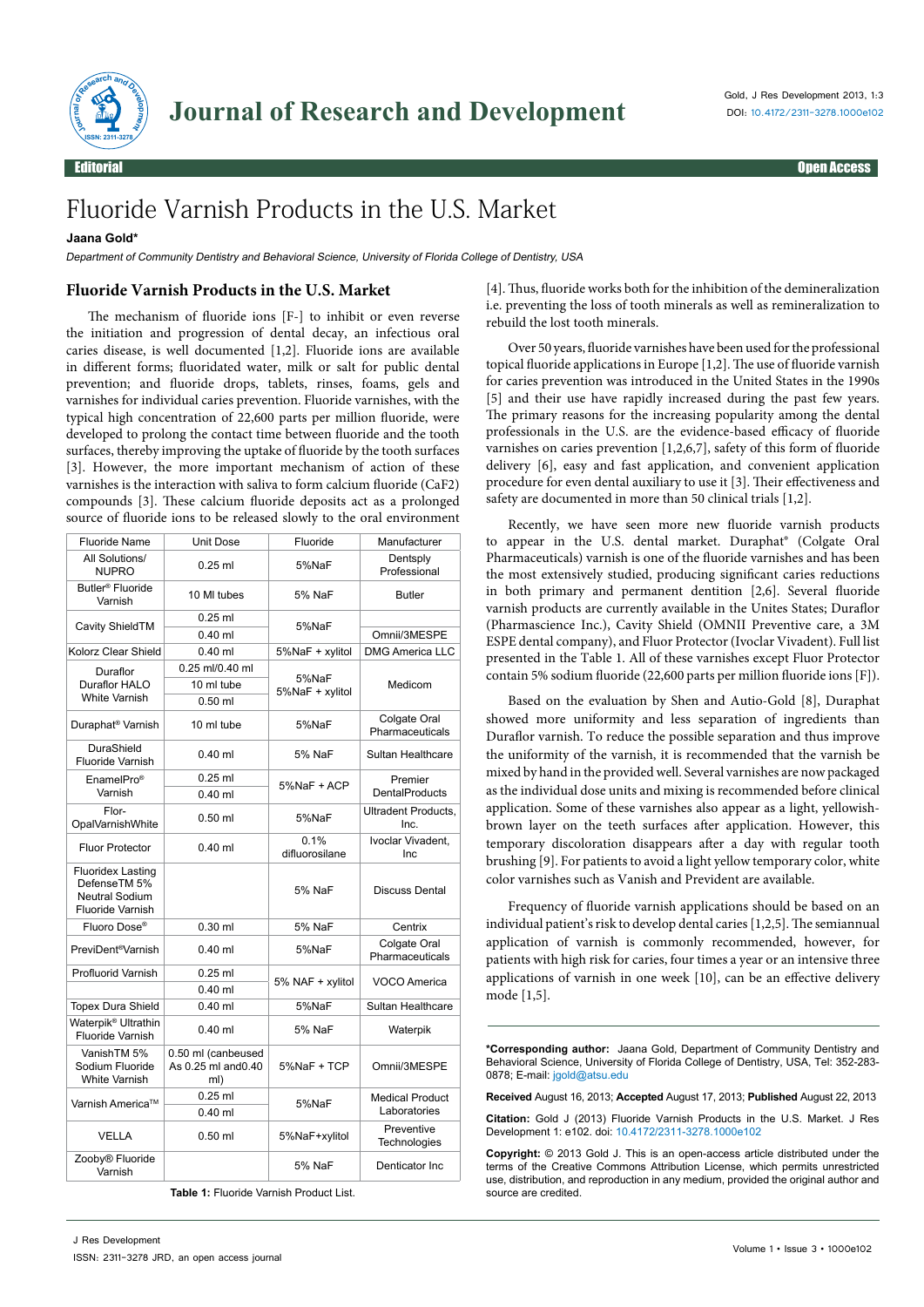

## Fluoride Varnish Products in the U.S. Market

## **Jaana Gold\***

Department of Community Dentistry and Behavioral Science, University of Florida College of Dentistry, USA

## **Fluoride Varnish Products in the U.S. Market**

The mechanism of fluoride ions [F-] to inhibit or even reverse the initiation and progression of dental decay, an infectious oral caries disease, is well documented [1,2]. Fluoride ions are available in different forms; fluoridated water, milk or salt for public dental prevention; and fluoride drops, tablets, rinses, foams, gels and varnishes for individual caries prevention. Fluoride varnishes, with the typical high concentration of 22,600 parts per million fluoride, were developed to prolong the contact time between fluoride and the tooth surfaces, thereby improving the uptake of fluoride by the tooth surfaces [3]. However, the more important mechanism of action of these varnishes is the interaction with saliva to form calcium fluoride (CaF2) compounds [3]. These calcium fluoride deposits act as a prolonged source of fluoride ions to be released slowly to the oral environment

| <b>Fluoride Name</b>                                                                         | <b>Unit Dose</b>                                 | Fluoride                 | Manufacturer                           |
|----------------------------------------------------------------------------------------------|--------------------------------------------------|--------------------------|----------------------------------------|
| All Solutions/<br><b>NUPRO</b>                                                               | $0.25$ ml                                        | 5%NaF                    | Dentsply<br>Professional               |
| Butler <sup>®</sup> Fluoride<br>Varnish                                                      | 10 MI tubes                                      | 5% NaF                   | <b>Butler</b>                          |
| Cavity ShieldTM                                                                              | $0.25$ ml                                        | 5%NaF                    |                                        |
|                                                                                              | $0.40$ ml                                        |                          | Omnii/3MESPE                           |
| Kolorz Clear Shield                                                                          | $0.40$ ml                                        | 5%NaF + xylitol          | <b>DMG America LLC</b>                 |
| Duraflor<br>Duraflor HALO<br>White Varnish                                                   | 0.25 ml/0.40 ml                                  | 5%NaF<br>5%NaF + xylitol | Medicom                                |
|                                                                                              | 10 ml tube                                       |                          |                                        |
|                                                                                              | $0.50$ ml                                        |                          |                                        |
| Duraphat <sup>®</sup> Varnish                                                                | 10 ml tube                                       | 5%NaF                    | Colgate Oral<br>Pharmaceuticals        |
| DuraShield<br>Fluoride Varnish                                                               | $0.40$ ml                                        | 5% NaF                   | Sultan Healthcare                      |
| EnamelPro <sup>®</sup><br>Varnish                                                            | $0.25$ ml                                        | 5%NaF + ACP              | Premier<br><b>DentalProducts</b>       |
|                                                                                              | $0.40$ ml                                        |                          |                                        |
| Flor-<br>OpalVarnishWhite                                                                    | $0.50$ ml                                        | 5%NaF                    | Ultradent Products,<br>Inc.            |
| Fluor Protector                                                                              | $0.40$ ml                                        | 0.1%<br>difluorosilane   | Ivoclar Vivadent,<br>Inc               |
| <b>Fluoridex Lasting</b><br>DefenseTM 5%<br><b>Neutral Sodium</b><br><b>Fluoride Varnish</b> |                                                  | 5% NaF                   | <b>Discuss Dental</b>                  |
| Fluoro Dose®                                                                                 | $0.30$ ml                                        | 5% NaF                   | Centrix                                |
| PreviDent <sup>®</sup> Varnish                                                               | $0.40$ ml                                        | 5%NaF                    | Colgate Oral<br>Pharmaceuticals        |
| Profluorid Varnish                                                                           | $0.25$ ml                                        | 5% NAF + xylitol         | VOCO America                           |
|                                                                                              | $0.40$ ml                                        |                          |                                        |
| <b>Topex Dura Shield</b>                                                                     | $0.40$ ml                                        | 5%NaF                    | Sultan Healthcare                      |
| Waterpik <sup>®</sup> Ultrathin<br>Fluoride Varnish                                          | $0.40$ ml                                        | 5% NaF                   | Waterpik                               |
| VanishTM 5%<br>Sodium Fluoride<br><b>White Varnish</b>                                       | 0.50 ml (canbeused<br>As 0.25 ml and 0.40<br>ml) | 5%NaF + TCP              | Omnii/3MESPE                           |
| Varnish America™                                                                             | $0.25$ ml<br>$0.40$ ml                           | 5%NaF                    | <b>Medical Product</b><br>Laboratories |
|                                                                                              |                                                  |                          | Preventive                             |
| <b>VELLA</b>                                                                                 | $0.50$ ml                                        | 5%NaF+xylitol            | Technologies                           |
| Zooby <sup>®</sup> Fluoride<br>Varnish                                                       |                                                  | 5% NaF                   | Denticator Inc                         |

**Table 1:** Fluoride Varnish Product List.

[4]. Thus, fluoride works both for the inhibition of the demineralization i.e. preventing the loss of tooth minerals as well as remineralization to rebuild the lost tooth minerals.

Over 50 years, fluoride varnishes have been used for the professional topical fluoride applications in Europe [1,2]. The use of fluoride varnish for caries prevention was introduced in the United States in the 1990s [5] and their use have rapidly increased during the past few years. The primary reasons for the increasing popularity among the dental professionals in the U.S. are the evidence-based efficacy of fluoride varnishes on caries prevention [1,2,6,7], safety of this form of fluoride delivery [6], easy and fast application, and convenient application procedure for even dental auxiliary to use it [3]. Their effectiveness and safety are documented in more than 50 clinical trials [1,2].

Recently, we have seen more new fluoride varnish products to appear in the U.S. dental market. Duraphat® (Colgate Oral Pharmaceuticals) varnish is one of the fluoride varnishes and has been the most extensively studied, producing significant caries reductions in both primary and permanent dentition [2,6]. Several fluoride varnish products are currently available in the Unites States; Duraflor (Pharmascience Inc.), Cavity Shield (OMNII Preventive care, a 3M ESPE dental company), and Fluor Protector (Ivoclar Vivadent). Full list presented in the Table 1. All of these varnishes except Fluor Protector contain 5% sodium fluoride (22,600 parts per million fluoride ions [F]).

Based on the evaluation by Shen and Autio-Gold [8], Duraphat showed more uniformity and less separation of ingredients than Duraflor varnish. To reduce the possible separation and thus improve the uniformity of the varnish, it is recommended that the varnish be mixed by hand in the provided well. Several varnishes are now packaged as the individual dose units and mixing is recommended before clinical application. Some of these varnishes also appear as a light, yellowishbrown layer on the teeth surfaces after application. However, this temporary discoloration disappears after a day with regular tooth brushing [9]. For patients to avoid a light yellow temporary color, white color varnishes such as Vanish and Prevident are available.

Frequency of fluoride varnish applications should be based on an individual patient's risk to develop dental caries [1,2,5]. The semiannual application of varnish is commonly recommended, however, for patients with high risk for caries, four times a year or an intensive three applications of varnish in one week [10], can be an effective delivery mode [1,5].

**\*Corresponding author:** Jaana Gold, Department of Community Dentistry and Behavioral Science, University of Florida College of Dentistry, USA, Tel: 352-283- 0878; E-mail: jgold@atsu.edu

**Received** August 16, 2013; **Accepted** August 17, 2013; **Published** August 22, 2013

**Citation:** Gold J (2013) Fluoride Varnish Products in the U.S. Market. J Res Development 1: e102. doi: 10.4172/2311-3278.1000e102

**Copyright:** © 2013 Gold J. This is an open-access article distributed under the terms of the Creative Commons Attribution License, which permits unrestricted use, distribution, and reproduction in any medium, provided the original author and source are credited.